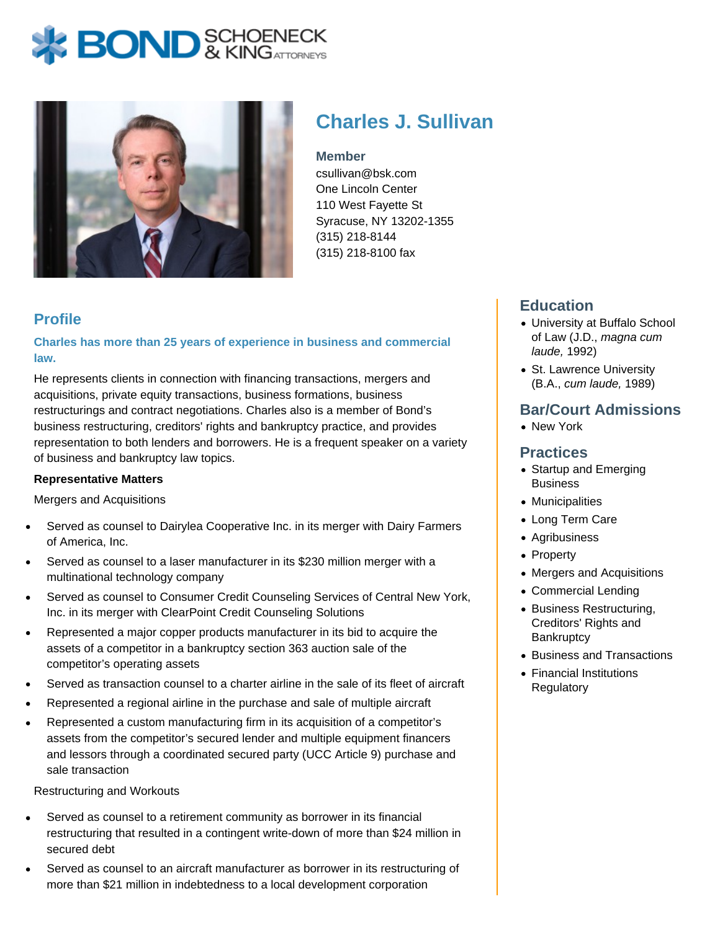# **BOND** & KINGATTORNECK



# **Charles J. Sullivan**

#### **Member**

csullivan@bsk.com One Lincoln Center 110 West Fayette St Syracuse, NY 13202-1355 (315) 218-8144 (315) 218-8100 fax

# **Profile**

**Charles has more than 25 years of experience in business and commercial law.**

He represents clients in connection with financing transactions, mergers and acquisitions, private equity transactions, business formations, business restructurings and contract negotiations. Charles also is a member of Bond's business restructuring, creditors' rights and bankruptcy practice, and provides representation to both lenders and borrowers. He is a frequent speaker on a variety of business and bankruptcy law topics.

#### **Representative Matters**

Mergers and Acquisitions

- Served as counsel to Dairylea Cooperative Inc. in its merger with Dairy Farmers of America, Inc.
- Served as counsel to a laser manufacturer in its \$230 million merger with a multinational technology company
- Served as counsel to Consumer Credit Counseling Services of Central New York, Inc. in its merger with ClearPoint Credit Counseling Solutions
- Represented a major copper products manufacturer in its bid to acquire the assets of a competitor in a bankruptcy section 363 auction sale of the competitor's operating assets
- Served as transaction counsel to a charter airline in the sale of its fleet of aircraft
- Represented a regional airline in the purchase and sale of multiple aircraft
- Represented a custom manufacturing firm in its acquisition of a competitor's assets from the competitor's secured lender and multiple equipment financers and lessors through a coordinated secured party (UCC Article 9) purchase and sale transaction

Restructuring and Workouts

- Served as counsel to a retirement community as borrower in its financial restructuring that resulted in a contingent write-down of more than \$24 million in secured debt
- Served as counsel to an aircraft manufacturer as borrower in its restructuring of more than \$21 million in indebtedness to a local development corporation

# **Education**

- University at Buffalo School of Law (J.D., magna cum laude, 1992)
- St. Lawrence University (B.A., cum laude, 1989)

### **Bar/Court Admissions**

New York

#### **Practices**

- Startup and Emerging Business
- Municipalities
- Long Term Care
- Agribusiness
- Property
- Mergers and Acquisitions
- Commercial Lending
- Business Restructuring, Creditors' Rights and **Bankruptcy**
- Business and Transactions
- Financial Institutions **Regulatory**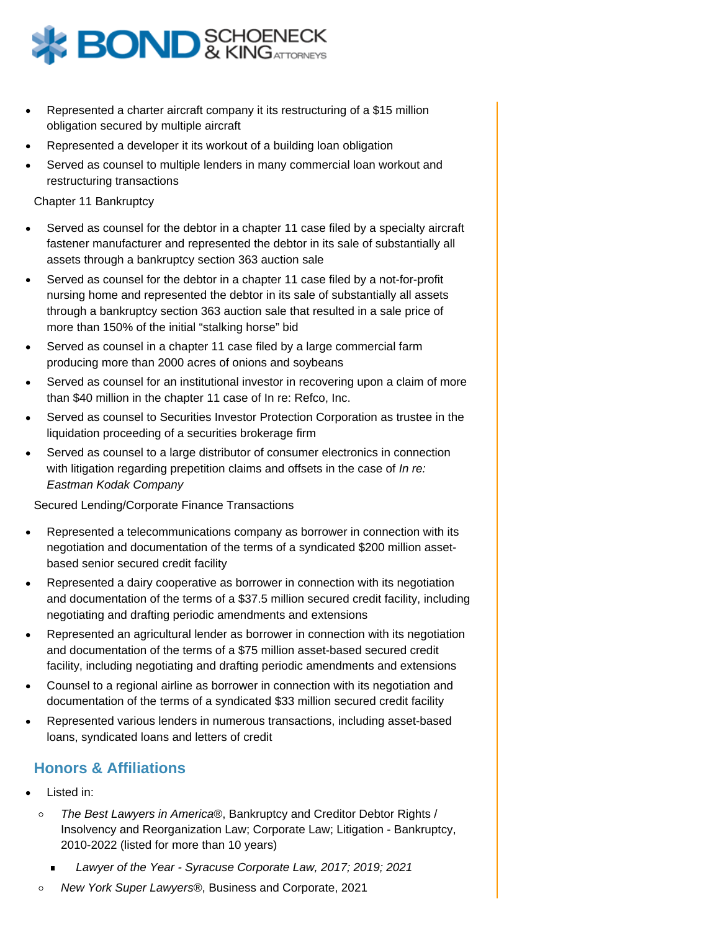

- Represented a charter aircraft company it its restructuring of a \$15 million obligation secured by multiple aircraft
- Represented a developer it its workout of a building loan obligation
- Served as counsel to multiple lenders in many commercial loan workout and restructuring transactions

Chapter 11 Bankruptcy

- Served as counsel for the debtor in a chapter 11 case filed by a specialty aircraft fastener manufacturer and represented the debtor in its sale of substantially all assets through a bankruptcy section 363 auction sale
- Served as counsel for the debtor in a chapter 11 case filed by a not-for-profit nursing home and represented the debtor in its sale of substantially all assets through a bankruptcy section 363 auction sale that resulted in a sale price of more than 150% of the initial "stalking horse" bid
- Served as counsel in a chapter 11 case filed by a large commercial farm producing more than 2000 acres of onions and soybeans
- Served as counsel for an institutional investor in recovering upon a claim of more than \$40 million in the chapter 11 case of In re: Refco, Inc.
- Served as counsel to Securities Investor Protection Corporation as trustee in the liquidation proceeding of a securities brokerage firm
- Served as counsel to a large distributor of consumer electronics in connection with litigation regarding prepetition claims and offsets in the case of In re: Eastman Kodak Company

Secured Lending/Corporate Finance Transactions

- Represented a telecommunications company as borrower in connection with its negotiation and documentation of the terms of a syndicated \$200 million assetbased senior secured credit facility
- Represented a dairy cooperative as borrower in connection with its negotiation and documentation of the terms of a \$37.5 million secured credit facility, including negotiating and drafting periodic amendments and extensions
- Represented an agricultural lender as borrower in connection with its negotiation and documentation of the terms of a \$75 million asset-based secured credit facility, including negotiating and drafting periodic amendments and extensions
- Counsel to a regional airline as borrower in connection with its negotiation and documentation of the terms of a syndicated \$33 million secured credit facility
- Represented various lenders in numerous transactions, including asset-based loans, syndicated loans and letters of credit

# **Honors & Affiliations**

- Listed in:
	- The Best Lawyers in America®, Bankruptcy and Creditor Debtor Rights /  $\circ$ Insolvency and Reorganization Law; Corporate Law; Litigation - Bankruptcy, 2010-2022 (listed for more than 10 years)
		- Lawyer of the Year Syracuse Corporate Law, 2017; 2019; 2021
	- New York Super Lawyers®, Business and Corporate, 2021 $\circ$